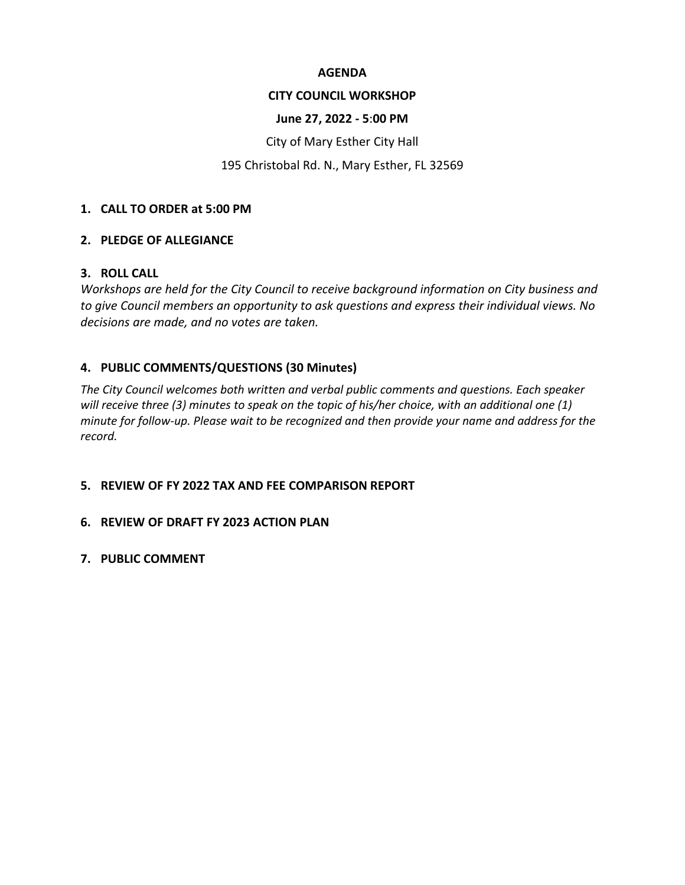#### **AGENDA**

#### **CITY COUNCIL WORKSHOP**

#### **June 27, 2022 - 5**:**00 PM**

City of Mary Esther City Hall

#### 195 Christobal Rd. N., Mary Esther, FL 32569

#### **1. CALL TO ORDER at 5:00 PM**

#### **2. PLEDGE OF ALLEGIANCE**

#### **3. ROLL CALL**

*Workshops are held for the City Council to receive background information on City business and to give Council members an opportunity to ask questions and express their individual views. No decisions are made, and no votes are taken.*

#### **4. PUBLIC COMMENTS/QUESTIONS (30 Minutes)**

*The City Council welcomes both written and verbal public comments and questions. Each speaker will receive three (3) minutes to speak on the topic of his/her choice, with an additional one (1) minute for follow-up. Please wait to be recognized and then provide your name and address for the record.* 

#### **5. REVIEW OF FY 2022 TAX AND FEE COMPARISON REPORT**

#### **6. REVIEW OF DRAFT FY 2023 ACTION PLAN**

**7. PUBLIC COMMENT**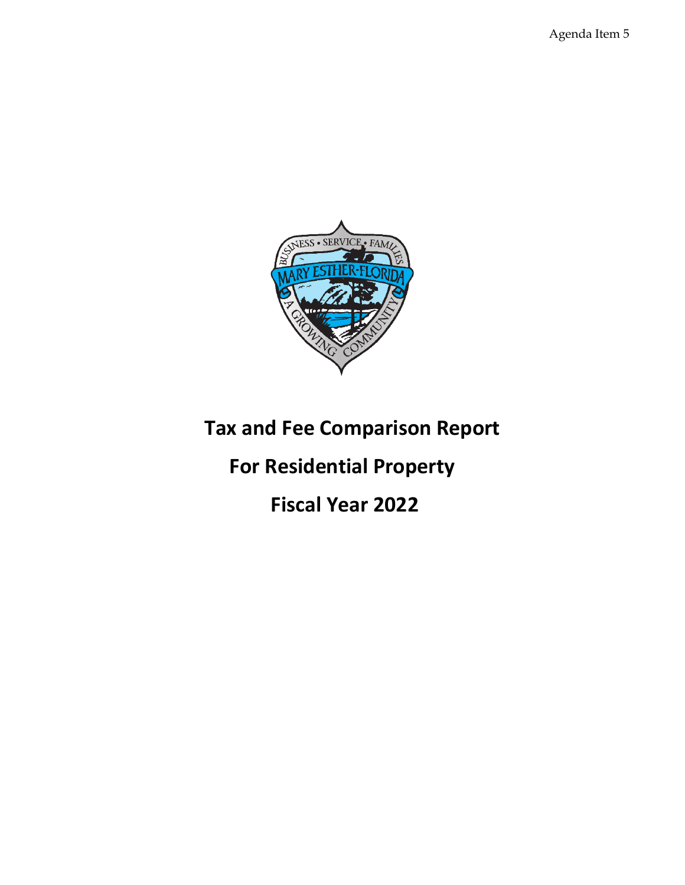Agenda Item 5



## **Tax and Fee Comparison Report**

# **For Residential Property**

### **Fiscal Year 2022**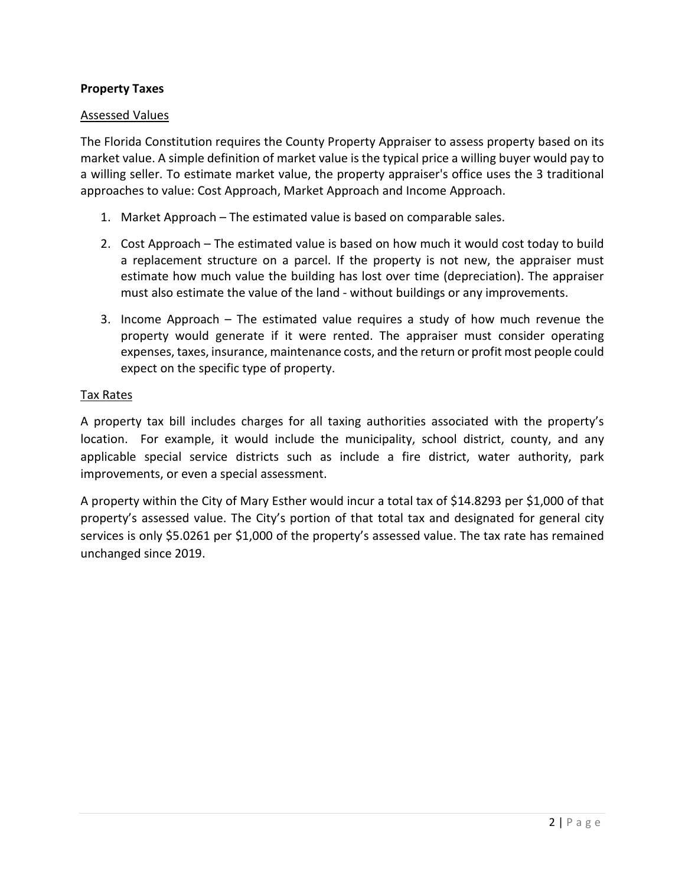#### **Property Taxes**

#### Assessed Values

The Florida Constitution requires the County Property Appraiser to assess property based on its market value. A simple definition of market value is the typical price a willing buyer would pay to a willing seller. To estimate market value, the property appraiser's office uses the 3 traditional approaches to value: Cost Approach, Market Approach and Income Approach.

- 1. Market Approach The estimated value is based on comparable sales.
- 2. Cost Approach The estimated value is based on how much it would cost today to build a replacement structure on a parcel. If the property is not new, the appraiser must estimate how much value the building has lost over time (depreciation). The appraiser must also estimate the value of the land - without buildings or any improvements.
- 3. Income Approach The estimated value requires a study of how much revenue the property would generate if it were rented. The appraiser must consider operating expenses, taxes, insurance, maintenance costs, and the return or profit most people could expect on the specific type of property.

#### Tax Rates

A property tax bill includes charges for all taxing authorities associated with the property's location. For example, it would include the municipality, school district, county, and any applicable special service districts such as include a fire district, water authority, park improvements, or even a special assessment.

A property within the City of Mary Esther would incur a total tax of \$14.8293 per \$1,000 of that property's assessed value. The City's portion of that total tax and designated for general city services is only \$5.0261 per \$1,000 of the property's assessed value. The tax rate has remained unchanged since 2019.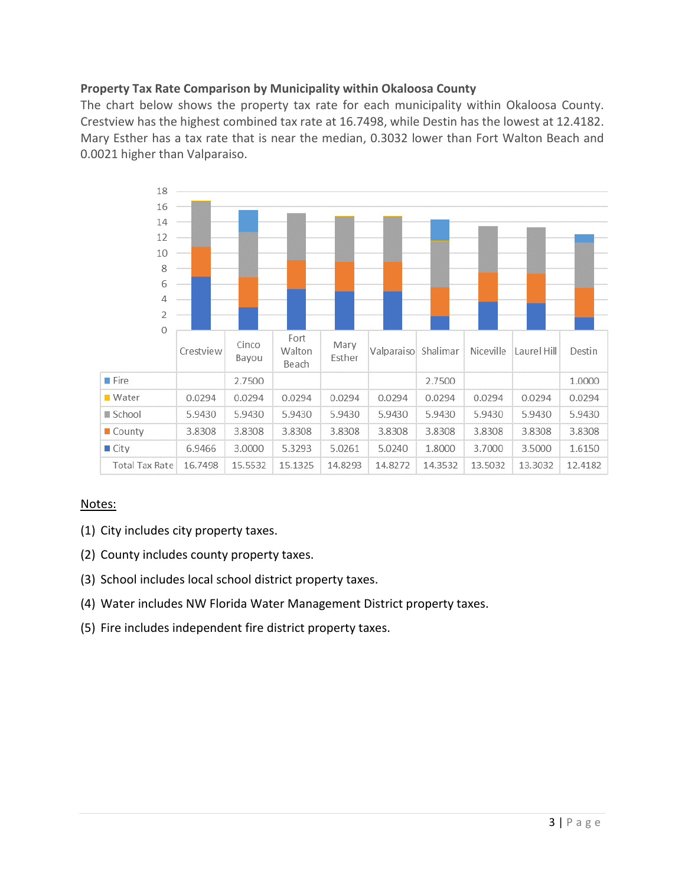#### **Property Tax Rate Comparison by Municipality within Okaloosa County**

The chart below shows the property tax rate for each municipality within Okaloosa County. Crestview has the highest combined tax rate at 16.7498, while Destin has the lowest at 12.4182. Mary Esther has a tax rate that is near the median, 0.3032 lower than Fort Walton Beach and 0.0021 higher than Valparaiso.



- (1) City includes city property taxes.
- (2) County includes county property taxes.
- (3) School includes local school district property taxes.
- (4) Water includes NW Florida Water Management District property taxes.
- (5) Fire includes independent fire district property taxes.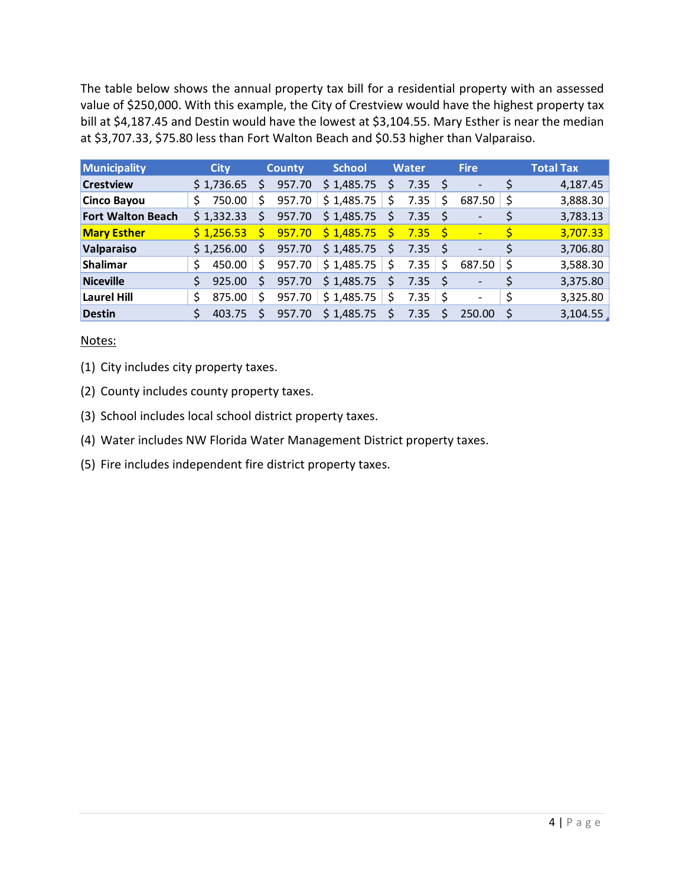The table below shows the annual property tax bill for a residential property with an assessed value of \$250,000. With this example, the City of Crestview would have the highest property tax bill at \$4,187.45 and Destin would have the lowest at \$3,104.55. Mary Esther is near the median at \$3,707.33, \$75.80 less than Fort Walton Beach and \$0.53 higher than Valparaiso.

| Municipality             |    | <b>City</b> |    | <b>County</b> | <b>School</b> |              | <b>Water</b>      |     | <b>Fire</b>              |     | <b>Total Tax</b> |
|--------------------------|----|-------------|----|---------------|---------------|--------------|-------------------|-----|--------------------------|-----|------------------|
| <b>Crestview</b>         |    | \$1,736.65  | S  | 957.70        | \$1,485.75    | S            | 7.35              | -Ś  | $\overline{\phantom{a}}$ |     | 4,187.45         |
| <b>Cinco Bayou</b>       | S  | 750.00      | Ś  | 957.70        | \$1,485.75    | \$           | 7.35              | \$  | 687.50                   | -\$ | 3,888.30         |
| <b>Fort Walton Beach</b> |    | \$1,332.33  | S  | 957.70        | \$1,485.75    | $\mathsf{S}$ | 7.35              |     |                          |     | 3,783.13         |
| <b>Mary Esther</b>       |    | \$1,256.53  | S. | 957.70        | \$1,485.75    | Ś.           | 7.35              | - S | $\overline{\phantom{0}}$ | Ś   | 3,707.33         |
| Valparaiso               |    | \$1,256.00  | Ś  | 957.70        | \$1,485.75    | \$           | 7.35 <sub>5</sub> |     | $\qquad \qquad -$        | Ś   | 3,706.80         |
| Shalimar                 | Ś  | 450.00      | Ŝ. | 957.70        | \$1,485.75    | \$           | 7.35              | Ŝ.  | 687.50                   | -S  | 3,588.30         |
| <b>Niceville</b>         | Ś  | 925.00      | Ŝ. | 957.70        | \$1,485.75    | Ś            | 7.35              |     |                          |     | 3,375.80         |
| <b>Laurel Hill</b>       | Š. | 875.00      | S  | 957.70        | \$1,485.75    | \$           | 7.35              | -S  | $\overline{\phantom{a}}$ |     | 3,325.80         |
| <b>Destin</b>            | S  | 403.75      | Ŝ. | 957.70        | \$1,485.75    | \$           | 7.35              | Ś   | 250.00                   |     | 3,104.55         |

#### Notes:

(1) City includes city property taxes.

- (2) County includes county property taxes.
- (3) School includes local school district property taxes.
- (4) Water includes NW Florida Water Management District property taxes.
- (5) Fire includes independent fire district property taxes.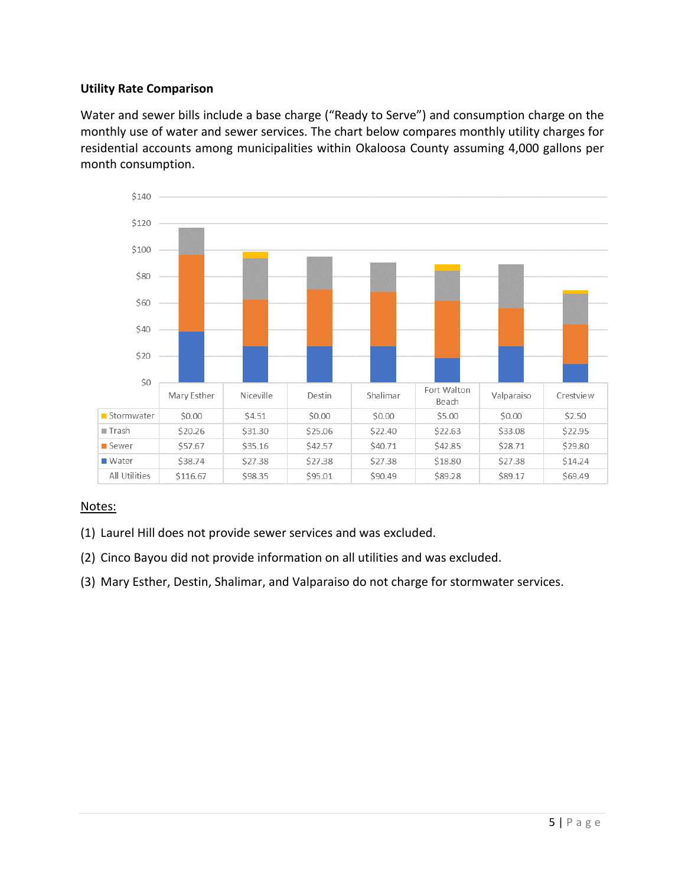#### **Utility Rate Comparison**

Water and sewer bills include a base charge ("Ready to Serve") and consumption charge on the monthly use of water and sewer services. The chart below compares monthly utility charges for residential accounts among municipalities within Okaloosa County assuming 4,000 gallons per month consumption.



- (1) Laurel Hill does not provide sewer services and was excluded.
- (2) Cinco Bayou did not provide information on all utilities and was excluded.
- (3) Mary Esther, Destin, Shalimar, and Valparaiso do not charge for stormwater services.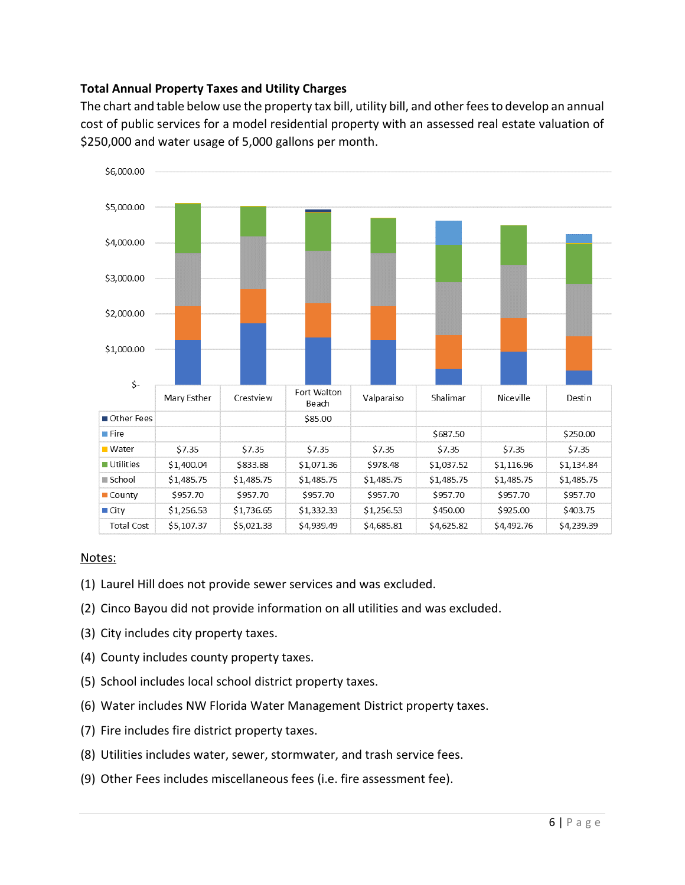#### **Total Annual Property Taxes and Utility Charges**

The chart and table below use the property tax bill, utility bill, and other fees to develop an annual cost of public services for a model residential property with an assessed real estate valuation of \$250,000 and water usage of 5,000 gallons per month.



- (1) Laurel Hill does not provide sewer services and was excluded.
- (2) Cinco Bayou did not provide information on all utilities and was excluded.
- (3) City includes city property taxes.
- (4) County includes county property taxes.
- (5) School includes local school district property taxes.
- (6) Water includes NW Florida Water Management District property taxes.
- (7) Fire includes fire district property taxes.
- (8) Utilities includes water, sewer, stormwater, and trash service fees.
- (9) Other Fees includes miscellaneous fees (i.e. fire assessment fee).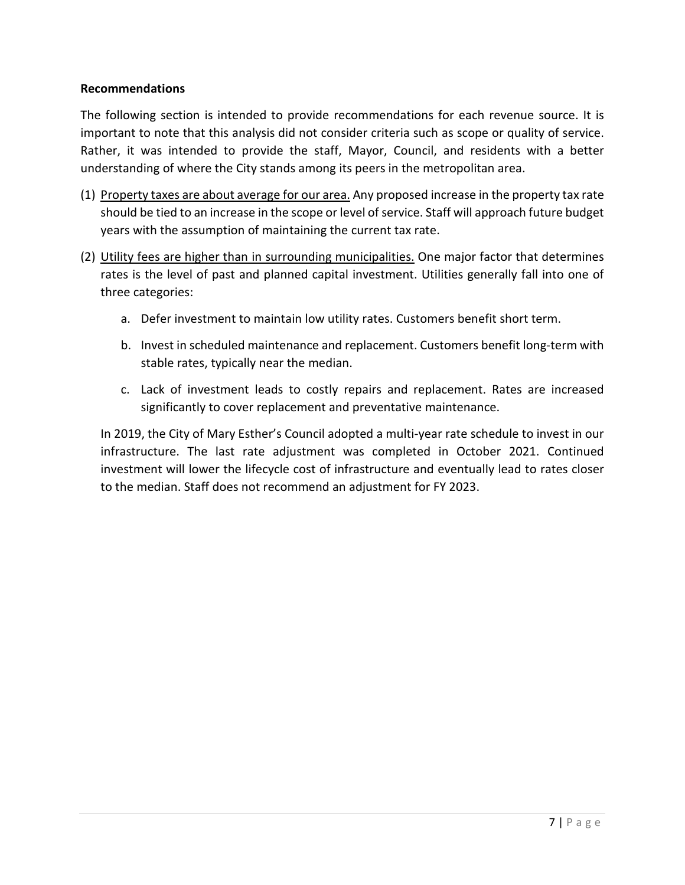#### **Recommendations**

The following section is intended to provide recommendations for each revenue source. It is important to note that this analysis did not consider criteria such as scope or quality of service. Rather, it was intended to provide the staff, Mayor, Council, and residents with a better understanding of where the City stands among its peers in the metropolitan area.

- (1) Property taxes are about average for our area. Any proposed increase in the property tax rate should be tied to an increase in the scope or level of service. Staff will approach future budget years with the assumption of maintaining the current tax rate.
- (2) Utility fees are higher than in surrounding municipalities. One major factor that determines rates is the level of past and planned capital investment. Utilities generally fall into one of three categories:
	- a. Defer investment to maintain low utility rates. Customers benefit short term.
	- b. Invest in scheduled maintenance and replacement. Customers benefit long-term with stable rates, typically near the median.
	- c. Lack of investment leads to costly repairs and replacement. Rates are increased significantly to cover replacement and preventative maintenance.

In 2019, the City of Mary Esther's Council adopted a multi-year rate schedule to invest in our infrastructure. The last rate adjustment was completed in October 2021. Continued investment will lower the lifecycle cost of infrastructure and eventually lead to rates closer to the median. Staff does not recommend an adjustment for FY 2023.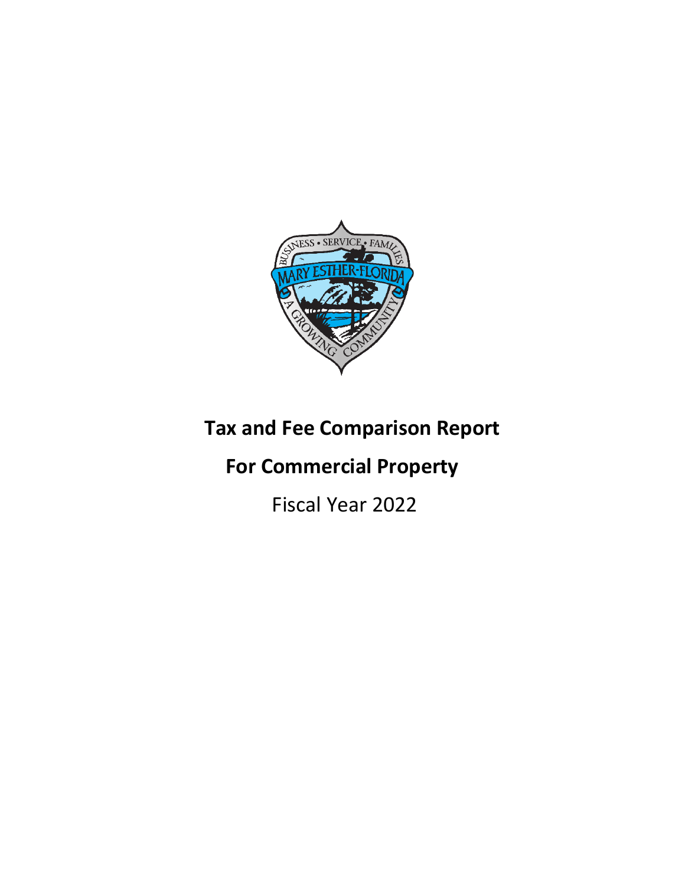

# **Tax and Fee Comparison Report**

## **For Commercial Property**

Fiscal Year 2022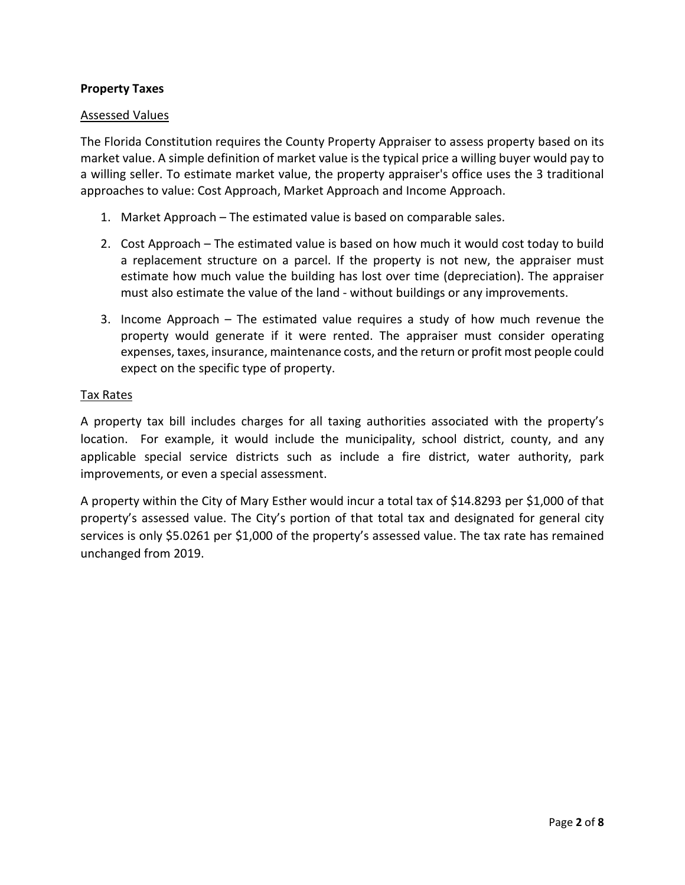#### **Property Taxes**

#### Assessed Values

The Florida Constitution requires the County Property Appraiser to assess property based on its market value. A simple definition of market value is the typical price a willing buyer would pay to a willing seller. To estimate market value, the property appraiser's office uses the 3 traditional approaches to value: Cost Approach, Market Approach and Income Approach.

- 1. Market Approach The estimated value is based on comparable sales.
- 2. Cost Approach The estimated value is based on how much it would cost today to build a replacement structure on a parcel. If the property is not new, the appraiser must estimate how much value the building has lost over time (depreciation). The appraiser must also estimate the value of the land - without buildings or any improvements.
- 3. Income Approach The estimated value requires a study of how much revenue the property would generate if it were rented. The appraiser must consider operating expenses, taxes, insurance, maintenance costs, and the return or profit most people could expect on the specific type of property.

#### Tax Rates

A property tax bill includes charges for all taxing authorities associated with the property's location. For example, it would include the municipality, school district, county, and any applicable special service districts such as include a fire district, water authority, park improvements, or even a special assessment.

A property within the City of Mary Esther would incur a total tax of \$14.8293 per \$1,000 of that property's assessed value. The City's portion of that total tax and designated for general city services is only \$5.0261 per \$1,000 of the property's assessed value. The tax rate has remained unchanged from 2019.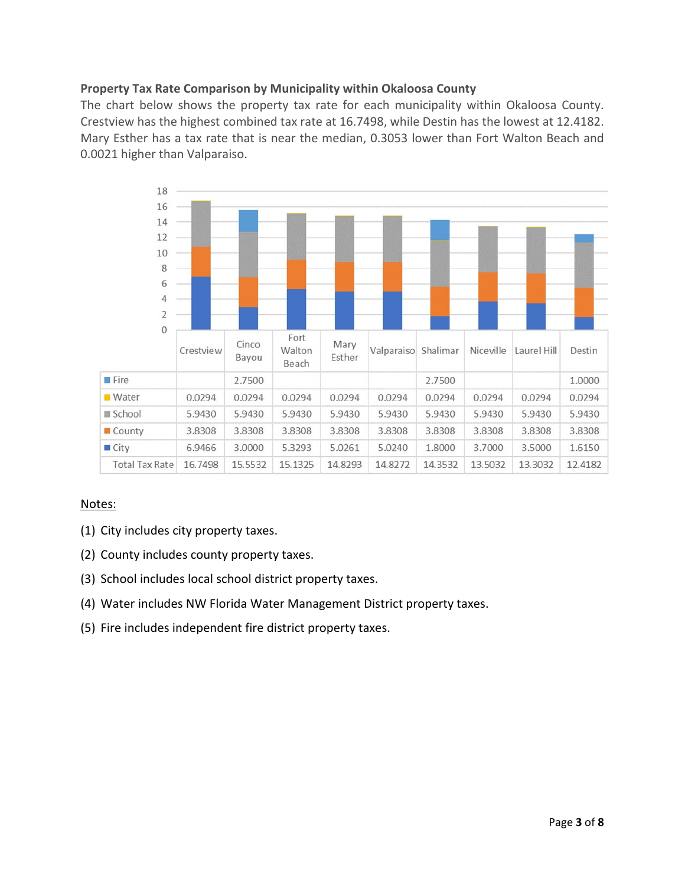#### **Property Tax Rate Comparison by Municipality within Okaloosa County**

The chart below shows the property tax rate for each municipality within Okaloosa County. Crestview has the highest combined tax rate at 16.7498, while Destin has the lowest at 12.4182. Mary Esther has a tax rate that is near the median, 0.3053 lower than Fort Walton Beach and 0.0021 higher than Valparaiso.



- (1) City includes city property taxes.
- (2) County includes county property taxes.
- (3) School includes local school district property taxes.
- (4) Water includes NW Florida Water Management District property taxes.
- (5) Fire includes independent fire district property taxes.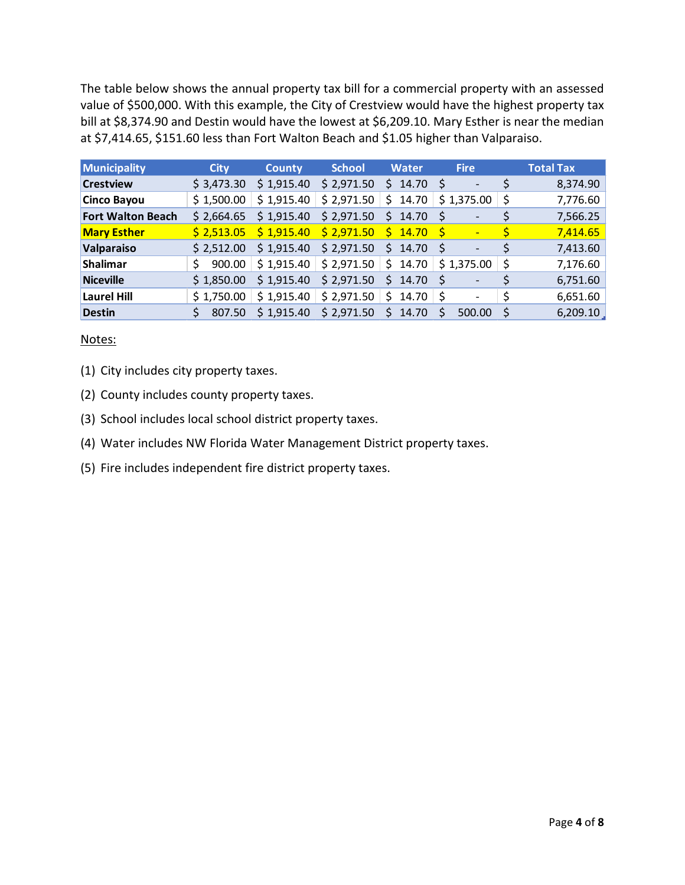The table below shows the annual property tax bill for a commercial property with an assessed value of \$500,000. With this example, the City of Crestview would have the highest property tax bill at \$8,374.90 and Destin would have the lowest at \$6,209.10. Mary Esther is near the median at \$7,414.65, \$151.60 less than Fort Walton Beach and \$1.05 higher than Valparaiso.

| Municipality             | <b>City</b> | <b>County</b> | <b>School</b> | <b>Water</b> | <b>Fire</b>                         |    | <b>Total Tax</b> |
|--------------------------|-------------|---------------|---------------|--------------|-------------------------------------|----|------------------|
| <b>Crestview</b>         | \$3,473.30  | \$1,915.40    | \$2,971.50    | \$14.70      | -S<br>$\overline{\phantom{0}}$      |    | 8,374.90         |
| <b>Cinco Bayou</b>       | \$1,500.00  | \$1,915.40    | \$2,971.50    | \$.<br>14.70 | \$1,375.00                          | Ŝ. | 7,776.60         |
| <b>Fort Walton Beach</b> | \$2,664.65  | \$1,915.40    | \$2,971.50    | \$14.70      | $\overline{\phantom{0}}$            | \$ | 7,566.25         |
| <b>Mary Esther</b>       | \$2,513.05  | \$1,915.40    | \$2,971.50    | $5 \t14.70$  | -S<br>$\overline{\phantom{0}}$      | Ś  | 7,414.65         |
| <b>Valparaiso</b>        | \$2,512.00  | \$1,915.40    | \$2,971.50    | \$14.70      | - S<br>$\qquad \qquad \blacksquare$ |    | 7,413.60         |
| Shalimar                 | 900.00<br>Ś | \$1,915.40    | \$2,971.50    | \$14.70      | \$1,375.00                          | -Ś | 7,176.60         |
| Niceville                | \$1,850.00  | \$1,915.40    | \$2,971.50    | \$14.70      |                                     |    | 6,751.60         |
| Laurel Hill              | \$1,750.00  | \$1,915.40    | \$2,971.50    | \$.<br>14.70 | -S<br>$\overline{\phantom{a}}$      | Ś  | 6,651.60         |
| <b>Destin</b>            | 807.50      | \$1,915.40    | \$2,971.50    | S.<br>14.70  | 500.00<br>$\varsigma$               |    | 6,209.10         |

#### Notes:

(1) City includes city property taxes.

- (2) County includes county property taxes.
- (3) School includes local school district property taxes.
- (4) Water includes NW Florida Water Management District property taxes.
- (5) Fire includes independent fire district property taxes.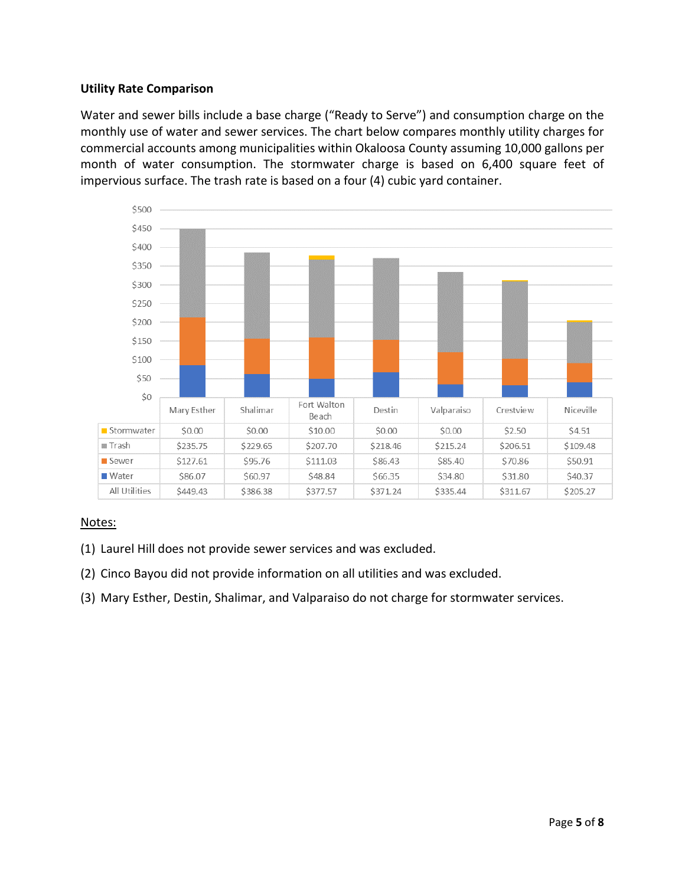#### **Utility Rate Comparison**

Water and sewer bills include a base charge ("Ready to Serve") and consumption charge on the monthly use of water and sewer services. The chart below compares monthly utility charges for commercial accounts among municipalities within Okaloosa County assuming 10,000 gallons per month of water consumption. The stormwater charge is based on 6,400 square feet of impervious surface. The trash rate is based on a four (4) cubic yard container.



- (1) Laurel Hill does not provide sewer services and was excluded.
- (2) Cinco Bayou did not provide information on all utilities and was excluded.
- (3) Mary Esther, Destin, Shalimar, and Valparaiso do not charge for stormwater services.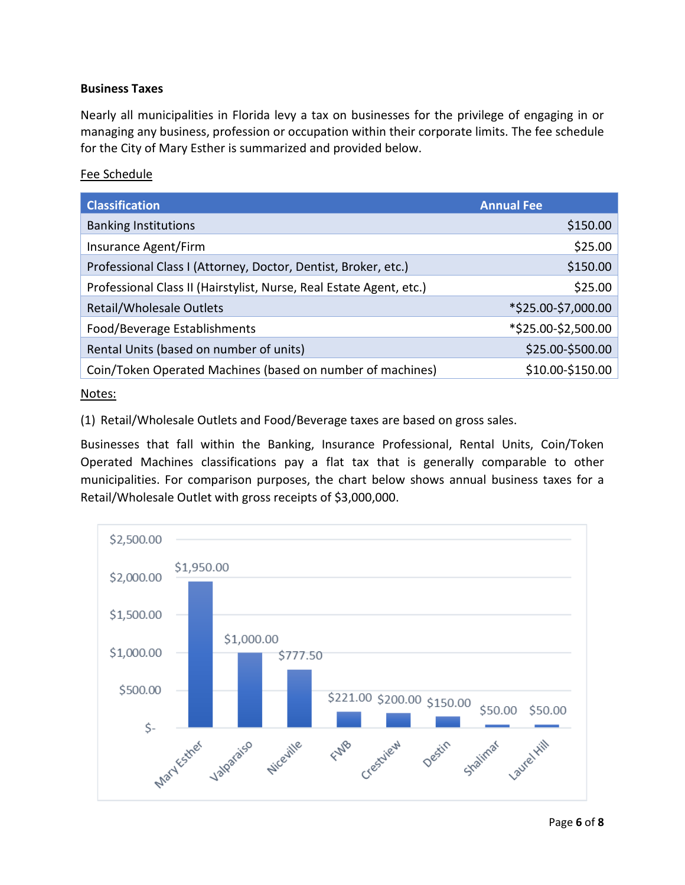#### **Business Taxes**

Nearly all municipalities in Florida levy a tax on businesses for the privilege of engaging in or managing any business, profession or occupation within their corporate limits. The fee schedule for the City of Mary Esther is summarized and provided below.

#### Fee Schedule

| <b>Classification</b>                                               | <b>Annual Fee</b>   |
|---------------------------------------------------------------------|---------------------|
| <b>Banking Institutions</b>                                         | \$150.00            |
| Insurance Agent/Firm                                                | \$25.00             |
| Professional Class I (Attorney, Doctor, Dentist, Broker, etc.)      | \$150.00            |
| Professional Class II (Hairstylist, Nurse, Real Estate Agent, etc.) | \$25.00             |
| Retail/Wholesale Outlets                                            | *\$25.00-\$7,000.00 |
| Food/Beverage Establishments                                        | *\$25.00-\$2,500.00 |
| Rental Units (based on number of units)                             | \$25.00-\$500.00    |
| Coin/Token Operated Machines (based on number of machines)          | \$10.00-\$150.00    |

#### Notes:

(1) Retail/Wholesale Outlets and Food/Beverage taxes are based on gross sales.

Businesses that fall within the Banking, Insurance Professional, Rental Units, Coin/Token Operated Machines classifications pay a flat tax that is generally comparable to other municipalities. For comparison purposes, the chart below shows annual business taxes for a Retail/Wholesale Outlet with gross receipts of \$3,000,000.

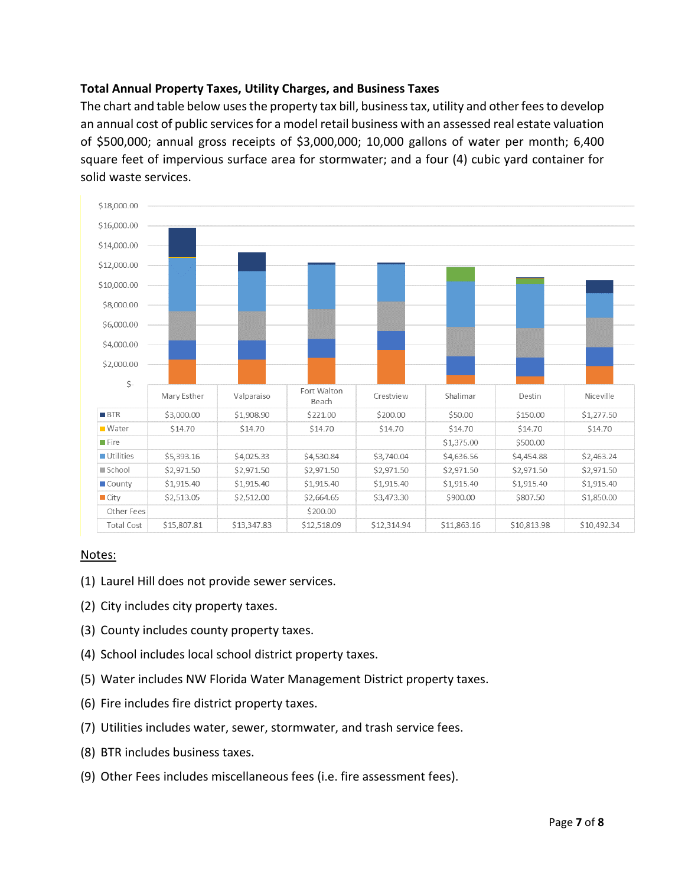#### **Total Annual Property Taxes, Utility Charges, and Business Taxes**

The chart and table below uses the property tax bill, business tax, utility and other fees to develop an annual cost of public services for a model retail business with an assessed real estate valuation of \$500,000; annual gross receipts of \$3,000,000; 10,000 gallons of water per month; 6,400 square feet of impervious surface area for stormwater; and a four (4) cubic yard container for solid waste services.



- (1) Laurel Hill does not provide sewer services.
- (2) City includes city property taxes.
- (3) County includes county property taxes.
- (4) School includes local school district property taxes.
- (5) Water includes NW Florida Water Management District property taxes.
- (6) Fire includes fire district property taxes.
- (7) Utilities includes water, sewer, stormwater, and trash service fees.
- (8) BTR includes business taxes.
- (9) Other Fees includes miscellaneous fees (i.e. fire assessment fees).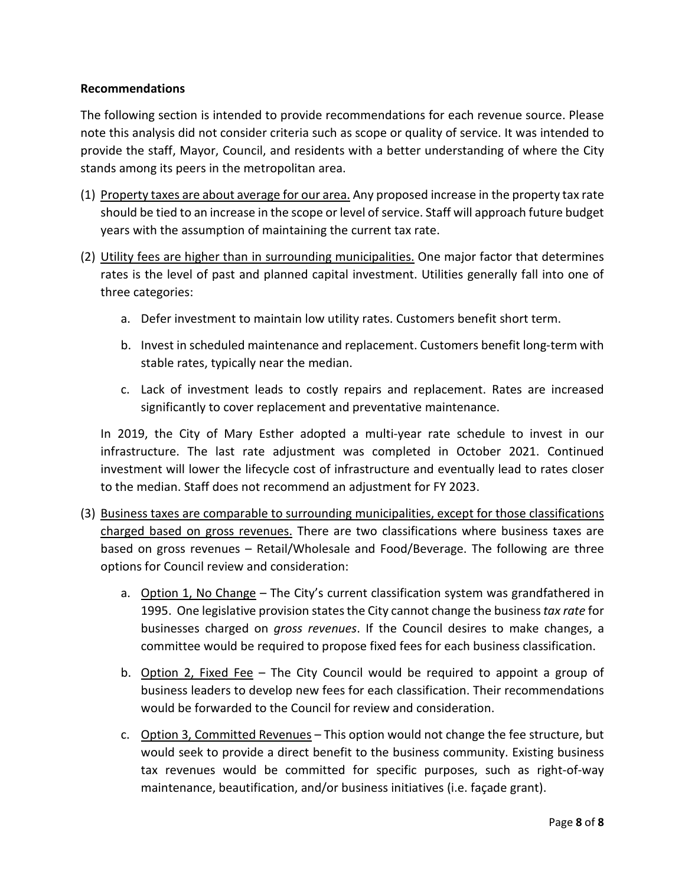#### **Recommendations**

The following section is intended to provide recommendations for each revenue source. Please note this analysis did not consider criteria such as scope or quality of service. It was intended to provide the staff, Mayor, Council, and residents with a better understanding of where the City stands among its peers in the metropolitan area.

- (1) Property taxes are about average for our area. Any proposed increase in the property tax rate should be tied to an increase in the scope or level of service. Staff will approach future budget years with the assumption of maintaining the current tax rate.
- (2) Utility fees are higher than in surrounding municipalities. One major factor that determines rates is the level of past and planned capital investment. Utilities generally fall into one of three categories:
	- a. Defer investment to maintain low utility rates. Customers benefit short term.
	- b. Invest in scheduled maintenance and replacement. Customers benefit long-term with stable rates, typically near the median.
	- c. Lack of investment leads to costly repairs and replacement. Rates are increased significantly to cover replacement and preventative maintenance.

In 2019, the City of Mary Esther adopted a multi-year rate schedule to invest in our infrastructure. The last rate adjustment was completed in October 2021. Continued investment will lower the lifecycle cost of infrastructure and eventually lead to rates closer to the median. Staff does not recommend an adjustment for FY 2023.

- (3) Business taxes are comparable to surrounding municipalities, except for those classifications charged based on gross revenues. There are two classifications where business taxes are based on gross revenues – Retail/Wholesale and Food/Beverage. The following are three options for Council review and consideration:
	- a. Option 1, No Change The City's current classification system was grandfathered in 1995. One legislative provision states the City cannot change the business *tax rate* for businesses charged on *gross revenues*. If the Council desires to make changes, a committee would be required to propose fixed fees for each business classification.
	- b. Option 2, Fixed Fee The City Council would be required to appoint a group of business leaders to develop new fees for each classification. Their recommendations would be forwarded to the Council for review and consideration.
	- c. Option 3, Committed Revenues This option would not change the fee structure, but would seek to provide a direct benefit to the business community. Existing business tax revenues would be committed for specific purposes, such as right-of-way maintenance, beautification, and/or business initiatives (i.e. façade grant).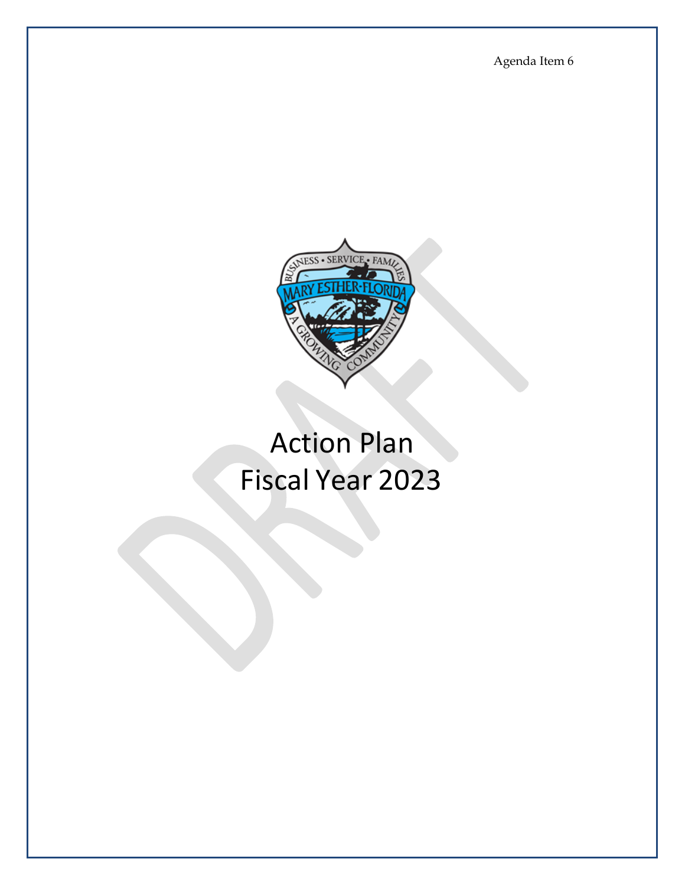Agenda Item 6



# Action Plan Fiscal Year 2023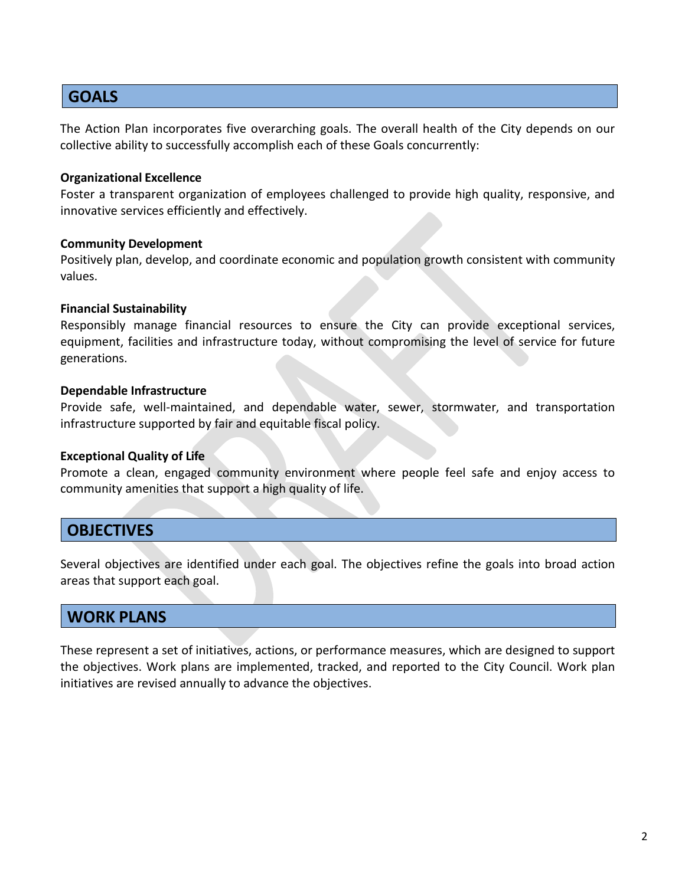#### **GOALS**

The Action Plan incorporates five overarching goals. The overall health of the City depends on our collective ability to successfully accomplish each of these Goals concurrently:

#### **Organizational Excellence**

Foster a transparent organization of employees challenged to provide high quality, responsive, and innovative services efficiently and effectively.

#### **Community Development**

Positively plan, develop, and coordinate economic and population growth consistent with community values.

#### **Financial Sustainability**

Responsibly manage financial resources to ensure the City can provide exceptional services, equipment, facilities and infrastructure today, without compromising the level of service for future generations.

#### **Dependable Infrastructure**

Provide safe, well-maintained, and dependable water, sewer, stormwater, and transportation infrastructure supported by fair and equitable fiscal policy.

#### **Exceptional Quality of Life**

Promote a clean, engaged community environment where people feel safe and enjoy access to community amenities that support a high quality of life.

#### **OBJECTIVES**

Several objectives are identified under each goal. The objectives refine the goals into broad action areas that support each goal.

#### **WORK PLANS**

These represent a set of initiatives, actions, or performance measures, which are designed to support the objectives. Work plans are implemented, tracked, and reported to the City Council. Work plan initiatives are revised annually to advance the objectives.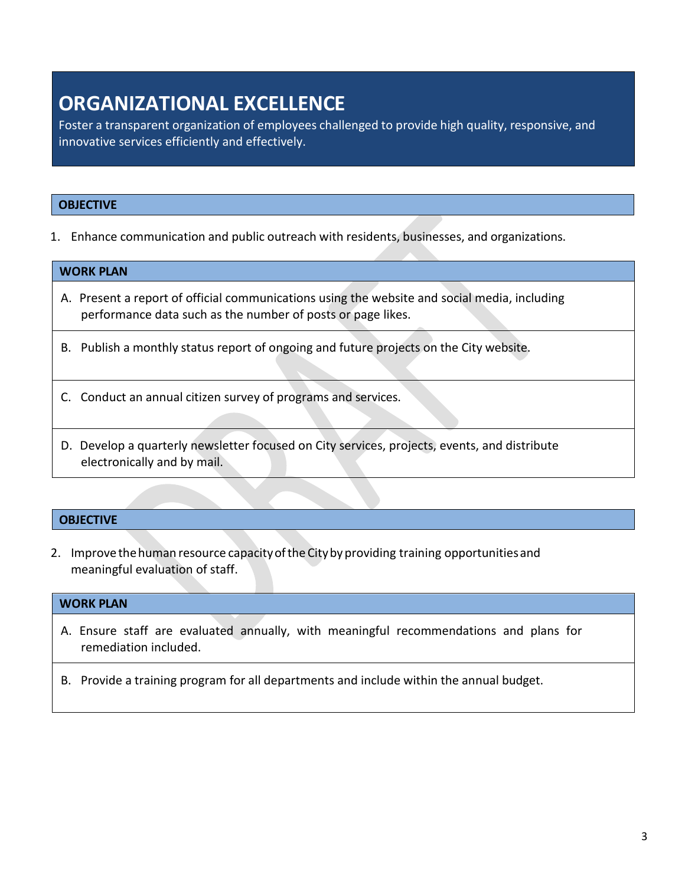### **ORGANIZATIONAL EXCELLENCE**

Foster a transparent organization of employees challenged to provide high quality, responsive, and innovative services efficiently and effectively.

#### **OBJECTIVE**

1. Enhance communication and public outreach with residents, businesses, and organizations.

#### **WORK PLAN**

- A. Present a report of official communications using the website and social media, including performance data such as the number of posts or page likes.
- B. Publish a monthly status report of ongoing and future projects on the City website.
- C. Conduct an annual citizen survey of programs and services.
- D. Develop a quarterly newsletter focused on City services, projects, events, and distribute electronically and by mail.

#### **OBJECTIVE**

2. Improve the human resource capacity of the City by providing training opportunities and meaningful evaluation of staff.

#### **WORK PLAN**

A. Ensure staff are evaluated annually, with meaningful recommendations and plans for remediation included.

B. Provide a training program for all departments and include within the annual budget.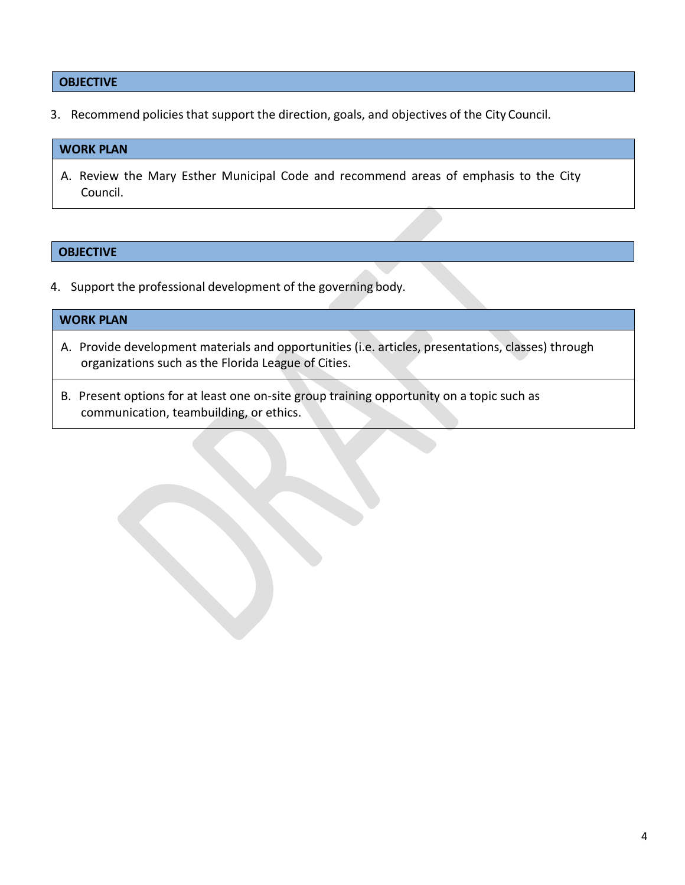#### **OBJECTIVE**

3. Recommend policies that support the direction, goals, and objectives of the City Council.

#### **WORK PLAN**

A. Review the Mary Esther Municipal Code and recommend areas of emphasis to the City Council.

#### **OBJECTIVE**

4. Support the professional development of the governing body.

#### **WORK PLAN**

- A. Provide development materials and opportunities (i.e. articles, presentations, classes) through organizations such as the Florida League of Cities.
- B. Present options for at least one on-site group training opportunity on a topic such as communication, teambuilding, or ethics.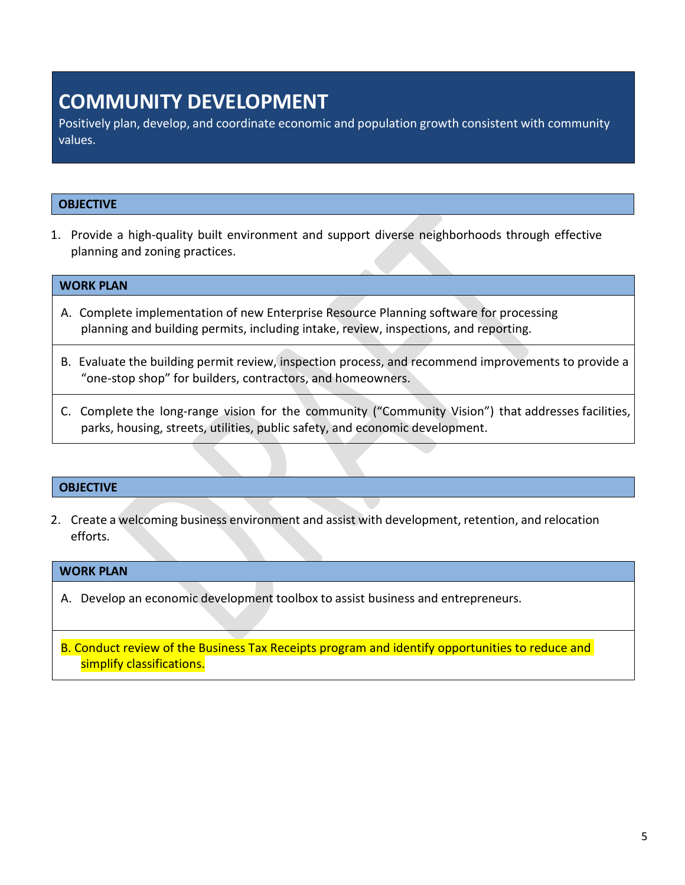### **COMMUNITY DEVELOPMENT**

Positively plan, develop, and coordinate economic and population growth consistent with community values.

#### **OBJECTIVE**

1. Provide a high-quality built environment and support diverse neighborhoods through effective planning and zoning practices.

#### **WORK PLAN**

- A. Complete implementation of new Enterprise Resource Planning software for processing planning and building permits, including intake, review, inspections, and reporting.
- B. Evaluate the building permit review, inspection process, and recommend improvements to provide a "one-stop shop" for builders, contractors, and homeowners.
- C. Complete the long-range vision for the community ("Community Vision") that addresses facilities, parks, housing, streets, utilities, public safety, and economic development.

#### **OBJECTIVE**

2. Create a welcoming business environment and assist with development, retention, and relocation efforts.

#### **WORK PLAN**

A. Develop an economic development toolbox to assist business and entrepreneurs.

B. Conduct review of the Business Tax Receipts program and identify opportunities to reduce and simplify classifications.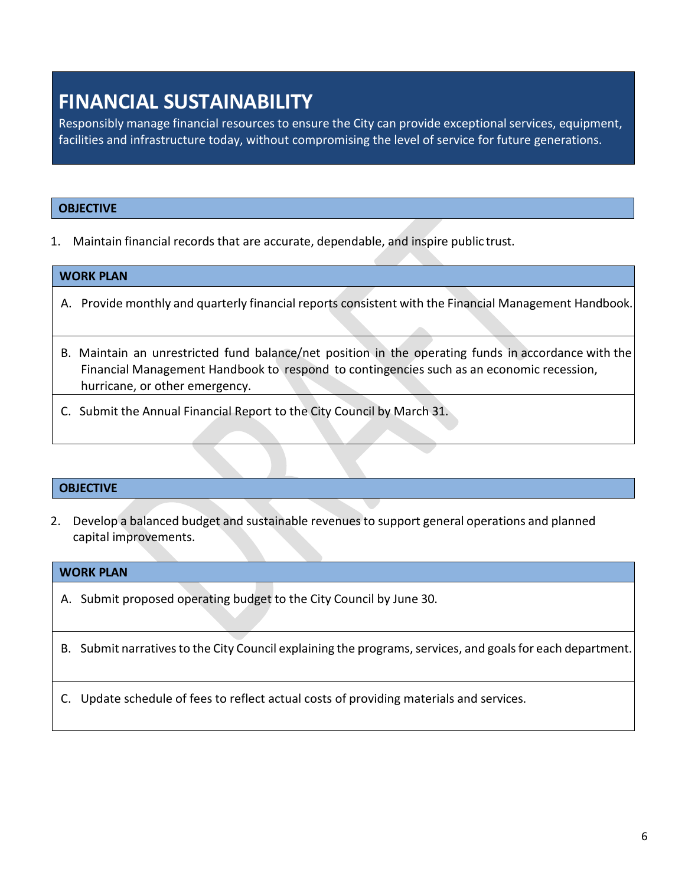### **FINANCIAL SUSTAINABILITY**

Responsibly manage financial resources to ensure the City can provide exceptional services, equipment, facilities and infrastructure today, without compromising the level of service for future generations.

#### **OBJECTIVE**

1. Maintain financial records that are accurate, dependable, and inspire public trust.

#### **WORK PLAN**

- A. Provide monthly and quarterly financial reports consistent with the Financial Management Handbook.
- B. Maintain an unrestricted fund balance/net position in the operating funds in accordance with the Financial Management Handbook to respond to contingencies such as an economic recession, hurricane, or other emergency.
- C. Submit the Annual Financial Report to the City Council by March 31.

#### **OBJECTIVE**

2. Develop a balanced budget and sustainable revenuesto support general operations and planned capital improvements.

#### **WORK PLAN**

A. Submit proposed operating budget to the City Council by June 30.

#### B. Submit narratives to the City Council explaining the programs, services, and goals for each department.

C. Update schedule of fees to reflect actual costs of providing materials and services.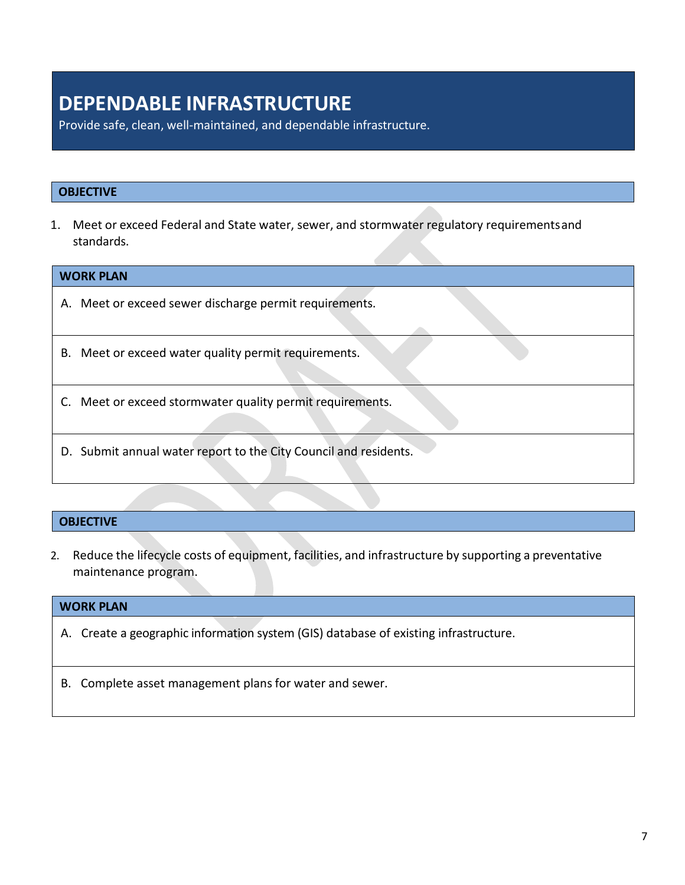### **DEPENDABLE INFRASTRUCTURE**

Provide safe, clean, well-maintained, and dependable infrastructure.

#### **OBJECTIVE**

1. Meet or exceed Federal and State water, sewer, and stormwater regulatory requirementsand standards.

| <b>WORK PLAN</b>                                                 |  |
|------------------------------------------------------------------|--|
| A. Meet or exceed sewer discharge permit requirements.           |  |
| B. Meet or exceed water quality permit requirements.             |  |
| C. Meet or exceed stormwater quality permit requirements.        |  |
| D. Submit annual water report to the City Council and residents. |  |

#### **OBJECTIVE**

2. Reduce the lifecycle costs of equipment, facilities, and infrastructure by supporting a preventative maintenance program.

#### **WORK PLAN**

- A. Create a geographic information system (GIS) database of existing infrastructure.
- B. Complete asset management plans for water and sewer.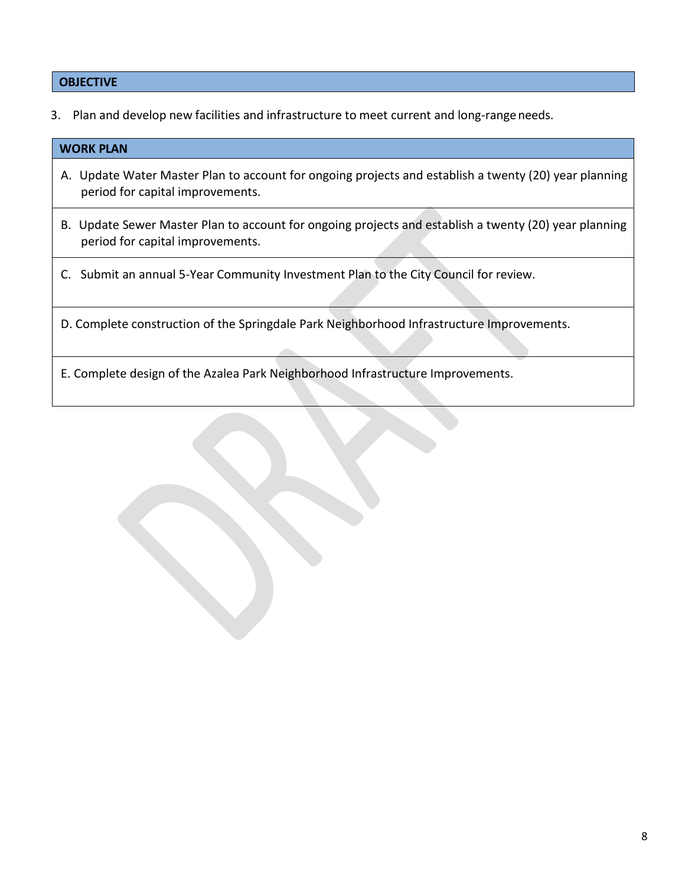#### **OBJECTIVE**

3. Plan and develop new facilities and infrastructure to meet current and long-rangeneeds.

| <b>WORK PLAN</b>                                                                                                                          |
|-------------------------------------------------------------------------------------------------------------------------------------------|
| A. Update Water Master Plan to account for ongoing projects and establish a twenty (20) year planning<br>period for capital improvements. |
| B. Update Sewer Master Plan to account for ongoing projects and establish a twenty (20) year planning<br>period for capital improvements. |
| C. Submit an annual 5-Year Community Investment Plan to the City Council for review.                                                      |
| D. Complete construction of the Springdale Park Neighborhood Infrastructure Improvements.                                                 |
| E. Complete design of the Azalea Park Neighborhood Infrastructure Improvements.                                                           |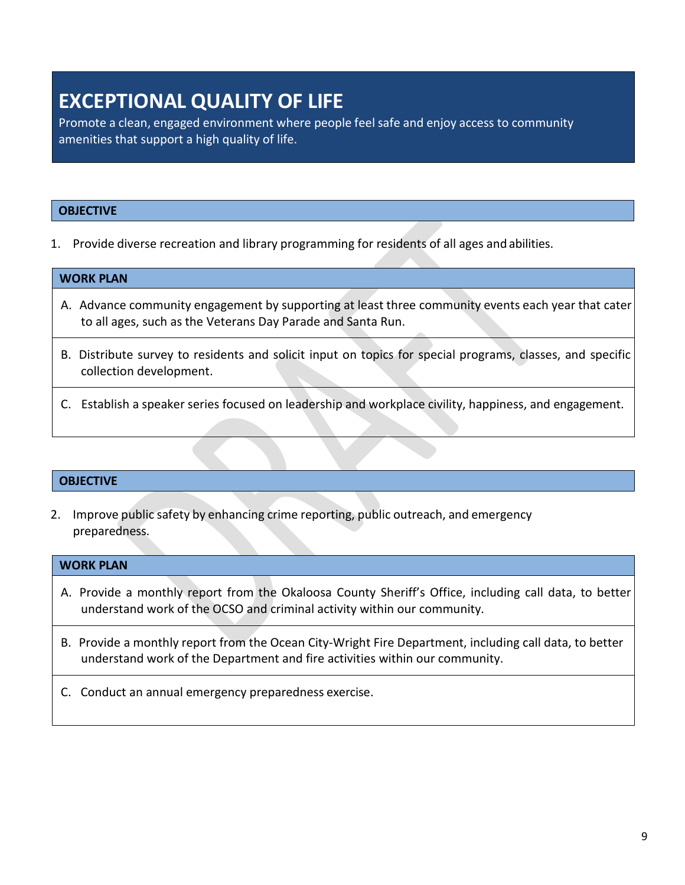### **EXCEPTIONAL QUALITY OF LIFE**

Promote a clean, engaged environment where people feel safe and enjoy access to community amenities that support a high quality of life.

#### **OBJECTIVE**

1. Provide diverse recreation and library programming for residents of all ages and abilities.

#### **WORK PLAN**

- A. Advance community engagement by supporting at least three community events each year that cater to all ages, such as the Veterans Day Parade and Santa Run.
- B. Distribute survey to residents and solicit input on topics for special programs, classes, and specific collection development.
- C. Establish a speaker series focused on leadership and workplace civility, happiness, and engagement.

#### **OBJECTIVE**

2. Improve public safety by enhancing crime reporting, public outreach, and emergency preparedness.

#### **WORK PLAN**

- A. Provide a monthly report from the Okaloosa County Sheriff's Office, including call data, to better understand work of the OCSO and criminal activity within our community.
- B. Provide a monthly report from the Ocean City-Wright Fire Department, including call data, to better understand work of the Department and fire activities within our community.
- C. Conduct an annual emergency preparedness exercise.